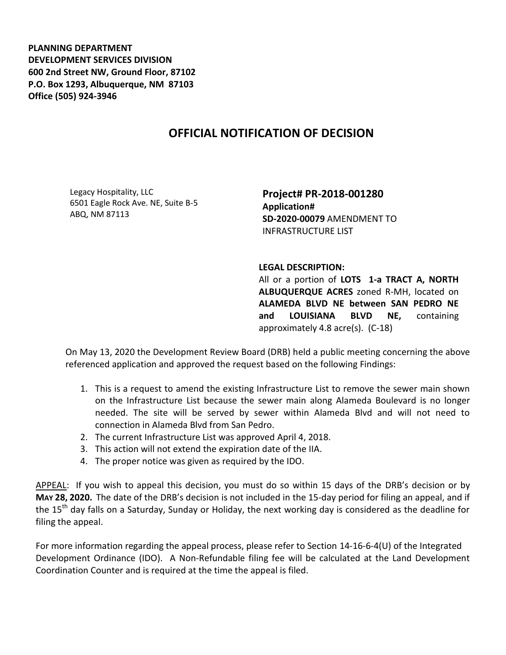**PLANNING DEPARTMENT DEVELOPMENT SERVICES DIVISION 600 2nd Street NW, Ground Floor, 87102 P.O. Box 1293, Albuquerque, NM 87103 Office (505) 924-3946** 

## **OFFICIAL NOTIFICATION OF DECISION**

Legacy Hospitality, LLC 6501 Eagle Rock Ave. NE, Suite B-5 ABQ, NM 87113

**Project# PR-2018-001280 Application# SD-2020-00079** AMENDMENT TO INFRASTRUCTURE LIST

## **LEGAL DESCRIPTION:**

All or a portion of **LOTS 1-a TRACT A, NORTH ALBUQUERQUE ACRES** zoned R-MH, located on **ALAMEDA BLVD NE between SAN PEDRO NE and LOUISIANA BLVD NE,** containing approximately 4.8 acre(s). (C-18)

On May 13, 2020 the Development Review Board (DRB) held a public meeting concerning the above referenced application and approved the request based on the following Findings:

- 1. This is a request to amend the existing Infrastructure List to remove the sewer main shown on the Infrastructure List because the sewer main along Alameda Boulevard is no longer needed. The site will be served by sewer within Alameda Blvd and will not need to connection in Alameda Blvd from San Pedro.
- 2. The current Infrastructure List was approved April 4, 2018.
- 3. This action will not extend the expiration date of the IIA.
- 4. The proper notice was given as required by the IDO.

APPEAL: If you wish to appeal this decision, you must do so within 15 days of the DRB's decision or by **MAY 28, 2020.** The date of the DRB's decision is not included in the 15-day period for filing an appeal, and if the 15<sup>th</sup> day falls on a Saturday, Sunday or Holiday, the next working day is considered as the deadline for filing the appeal.

For more information regarding the appeal process, please refer to Section 14-16-6-4(U) of the Integrated Development Ordinance (IDO). A Non-Refundable filing fee will be calculated at the Land Development Coordination Counter and is required at the time the appeal is filed.